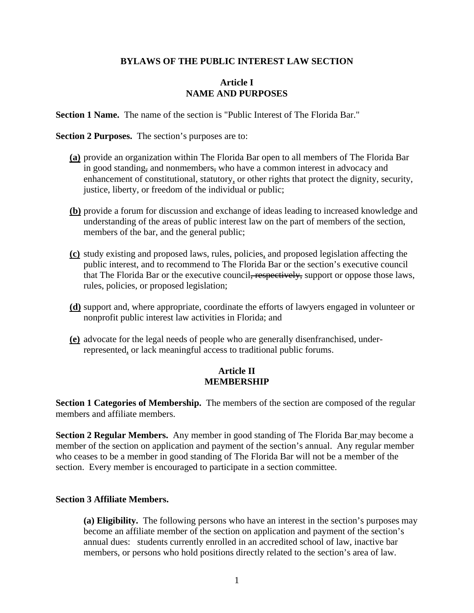#### **BYLAWS OF THE PUBLIC INTEREST LAW SECTION**

#### **Article I NAME AND PURPOSES**

**Section 1 Name.** The name of the section is "Public Interest of The Florida Bar."

**Section 2 Purposes.** The section's purposes are to:

- **(a)** provide an organization within The Florida Bar open to all members of The Florida Bar in good standing, and nonmembers, who have a common interest in advocacy and enhancement of constitutional, statutory, or other rights that protect the dignity, security, justice, liberty, or freedom of the individual or public;
- **(b)** provide a forum for discussion and exchange of ideas leading to increased knowledge and understanding of the areas of public interest law on the part of members of the section, members of the bar, and the general public;
- **(c)** study existing and proposed laws, rules, policies, and proposed legislation affecting the public interest, and to recommend to The Florida Bar or the section's executive council that The Florida Bar or the executive council, respectively, support or oppose those laws, rules, policies, or proposed legislation;
- **(d)** support and, where appropriate, coordinate the efforts of lawyers engaged in volunteer or nonprofit public interest law activities in Florida; and
- **(e)** advocate for the legal needs of people who are generally disenfranchised, underrepresented, or lack meaningful access to traditional public forums.

### **Article II MEMBERSHIP**

**Section 1 Categories of Membership.** The members of the section are composed of the regular members and affiliate members.

**Section 2 Regular Members.** Any member in good standing of The Florida Bar may become a member of the section on application and payment of the section's annual. Any regular member who ceases to be a member in good standing of The Florida Bar will not be a member of the section. Every member is encouraged to participate in a section committee.

#### **Section 3 Affiliate Members.**

**(a) Eligibility.** The following persons who have an interest in the section's purposes may become an affiliate member of the section on application and payment of the section's annual dues: students currently enrolled in an accredited school of law, inactive bar members, or persons who hold positions directly related to the section's area of law.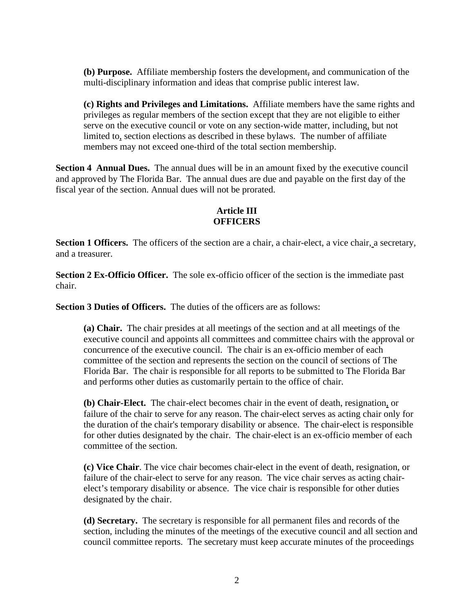**(b) Purpose.** Affiliate membership fosters the development, and communication of the multi-disciplinary information and ideas that comprise public interest law.

**(c) Rights and Privileges and Limitations.** Affiliate members have the same rights and privileges as regular members of the section except that they are not eligible to either serve on the executive council or vote on any section-wide matter, including, but not limited to, section elections as described in these bylaws. The number of affiliate members may not exceed one-third of the total section membership.

**Section 4 Annual Dues.** The annual dues will be in an amount fixed by the executive council and approved by The Florida Bar. The annual dues are due and payable on the first day of the fiscal year of the section. Annual dues will not be prorated.

# **Article III OFFICERS**

**Section 1 Officers.** The officers of the section are a chair, a chair-elect, a vice chair, a secretary, and a treasurer.

**Section 2 Ex-Officio Officer.** The sole ex-officio officer of the section is the immediate past chair.

**Section 3 Duties of Officers.** The duties of the officers are as follows:

**(a) Chair.** The chair presides at all meetings of the section and at all meetings of the executive council and appoints all committees and committee chairs with the approval or concurrence of the executive council. The chair is an ex-officio member of each committee of the section and represents the section on the council of sections of The Florida Bar. The chair is responsible for all reports to be submitted to The Florida Bar and performs other duties as customarily pertain to the office of chair.

**(b) Chair-Elect.** The chair-elect becomes chair in the event of death, resignation, or failure of the chair to serve for any reason. The chair-elect serves as acting chair only for the duration of the chair's temporary disability or absence. The chair-elect is responsible for other duties designated by the chair. The chair-elect is an ex-officio member of each committee of the section.

**(c) Vice Chair**. The vice chair becomes chair-elect in the event of death, resignation, or failure of the chair-elect to serve for any reason. The vice chair serves as acting chairelect's temporary disability or absence. The vice chair is responsible for other duties designated by the chair.

**(d) Secretary.** The secretary is responsible for all permanent files and records of the section, including the minutes of the meetings of the executive council and all section and council committee reports. The secretary must keep accurate minutes of the proceedings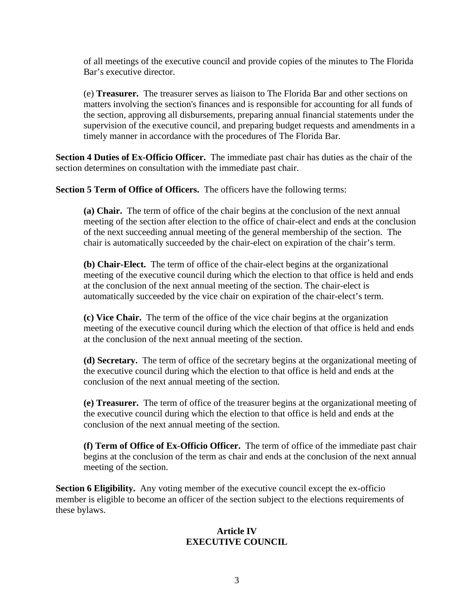of all meetings of the executive council and provide copies of the minutes to The Florida Bar's executive director.

(e) **Treasurer.** The treasurer serves as liaison to The Florida Bar and other sections on matters involving the section's finances and is responsible for accounting for all funds of the section, approving all disbursements, preparing annual financial statements under the supervision of the executive council, and preparing budget requests and amendments in a timely manner in accordance with the procedures of The Florida Bar.

**Section 4 Duties of Ex-Officio Officer.** The immediate past chair has duties as the chair of the section determines on consultation with the immediate past chair.

**Section 5 Term of Office of Officers.** The officers have the following terms:

**(a) Chair.** The term of office of the chair begins at the conclusion of the next annual meeting of the section after election to the office of chair-elect and ends at the conclusion of the next succeeding annual meeting of the general membership of the section. The chair is automatically succeeded by the chair-elect on expiration of the chair's term.

**(b) Chair-Elect.** The term of office of the chair-elect begins at the organizational meeting of the executive council during which the election to that office is held and ends at the conclusion of the next annual meeting of the section. The chair-elect is automatically succeeded by the vice chair on expiration of the chair-elect's term.

**(c) Vice Chair.** The term of the office of the vice chair begins at the organization meeting of the executive council during which the election of that office is held and ends at the conclusion of the next annual meeting of the section.

**(d) Secretary.** The term of office of the secretary begins at the organizational meeting of the executive council during which the election to that office is held and ends at the conclusion of the next annual meeting of the section.

**(e) Treasurer.** The term of office of the treasurer begins at the organizational meeting of the executive council during which the election to that office is held and ends at the conclusion of the next annual meeting of the section.

**(f) Term of Office of Ex-Officio Officer.** The term of office of the immediate past chair begins at the conclusion of the term as chair and ends at the conclusion of the next annual meeting of the section.

**Section 6 Eligibility.** Any voting member of the executive council except the ex-officio member is eligible to become an officer of the section subject to the elections requirements of these bylaws.

## **Article IV EXECUTIVE COUNCIL**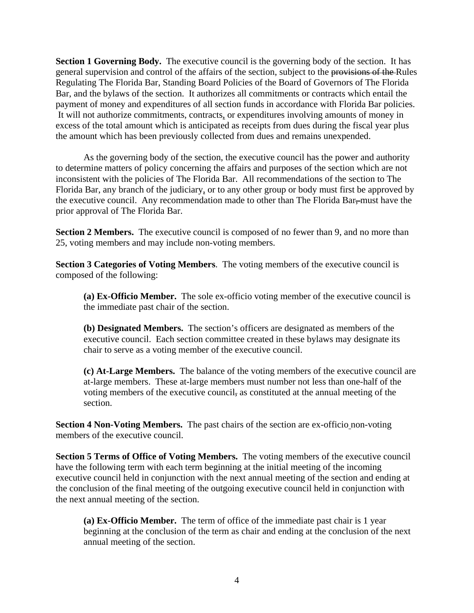**Section 1 Governing Body.** The executive council is the governing body of the section. It has general supervision and control of the affairs of the section, subject to the provisions of the Rules Regulating The Florida Bar, Standing Board Policies of the Board of Governors of The Florida Bar, and the bylaws of the section. It authorizes all commitments or contracts which entail the payment of money and expenditures of all section funds in accordance with Florida Bar policies. It will not authorize commitments, contracts, or expenditures involving amounts of money in excess of the total amount which is anticipated as receipts from dues during the fiscal year plus the amount which has been previously collected from dues and remains unexpended.

As the governing body of the section, the executive council has the power and authority to determine matters of policy concerning the affairs and purposes of the section which are not inconsistent with the policies of The Florida Bar. All recommendations of the section to The Florida Bar, any branch of the judiciary, or to any other group or body must first be approved by the executive council. Any recommendation made to other than The Florida Bar, must have the prior approval of The Florida Bar.

**Section 2 Members.** The executive council is composed of no fewer than 9, and no more than 25, voting members and may include non-voting members.

**Section 3 Categories of Voting Members**. The voting members of the executive council is composed of the following:

**(a) Ex-Officio Member.** The sole ex-officio voting member of the executive council is the immediate past chair of the section.

**(b) Designated Members.** The section's officers are designated as members of the executive council. Each section committee created in these bylaws may designate its chair to serve as a voting member of the executive council.

**(c) At-Large Members.** The balance of the voting members of the executive council are at-large members. These at-large members must number not less than one-half of the voting members of the executive council, as constituted at the annual meeting of the section.

**Section 4 Non-Voting Members.** The past chairs of the section are ex-officio non-voting members of the executive council.

**Section 5 Terms of Office of Voting Members.** The voting members of the executive council have the following term with each term beginning at the initial meeting of the incoming executive council held in conjunction with the next annual meeting of the section and ending at the conclusion of the final meeting of the outgoing executive council held in conjunction with the next annual meeting of the section.

**(a) Ex-Officio Member.** The term of office of the immediate past chair is 1 year beginning at the conclusion of the term as chair and ending at the conclusion of the next annual meeting of the section.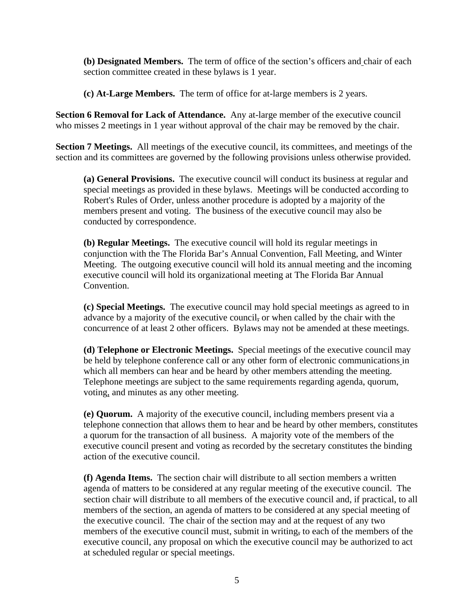**(b) Designated Members.** The term of office of the section's officers and chair of each section committee created in these bylaws is 1 year.

**(c) At-Large Members.** The term of office for at-large members is 2 years.

**Section 6 Removal for Lack of Attendance.** Any at-large member of the executive council who misses 2 meetings in 1 year without approval of the chair may be removed by the chair.

**Section 7 Meetings.** All meetings of the executive council, its committees, and meetings of the section and its committees are governed by the following provisions unless otherwise provided.

**(a) General Provisions.** The executive council will conduct its business at regular and special meetings as provided in these bylaws. Meetings will be conducted according to Robert's Rules of Order, unless another procedure is adopted by a majority of the members present and voting. The business of the executive council may also be conducted by correspondence.

**(b) Regular Meetings.** The executive council will hold its regular meetings in conjunction with the The Florida Bar's Annual Convention, Fall Meeting, and Winter Meeting. The outgoing executive council will hold its annual meeting and the incoming executive council will hold its organizational meeting at The Florida Bar Annual Convention.

**(c) Special Meetings.** The executive council may hold special meetings as agreed to in advance by a majority of the executive council, or when called by the chair with the concurrence of at least 2 other officers. Bylaws may not be amended at these meetings.

**(d) Telephone or Electronic Meetings.** Special meetings of the executive council may be held by telephone conference call or any other form of electronic communications in which all members can hear and be heard by other members attending the meeting. Telephone meetings are subject to the same requirements regarding agenda, quorum, voting, and minutes as any other meeting.

**(e) Quorum.** A majority of the executive council, including members present via a telephone connection that allows them to hear and be heard by other members, constitutes a quorum for the transaction of all business. A majority vote of the members of the executive council present and voting as recorded by the secretary constitutes the binding action of the executive council.

**(f) Agenda Items.** The section chair will distribute to all section members a written agenda of matters to be considered at any regular meeting of the executive council. The section chair will distribute to all members of the executive council and, if practical, to all members of the section, an agenda of matters to be considered at any special meeting of the executive council. The chair of the section may and at the request of any two members of the executive council must, submit in writing, to each of the members of the executive council, any proposal on which the executive council may be authorized to act at scheduled regular or special meetings.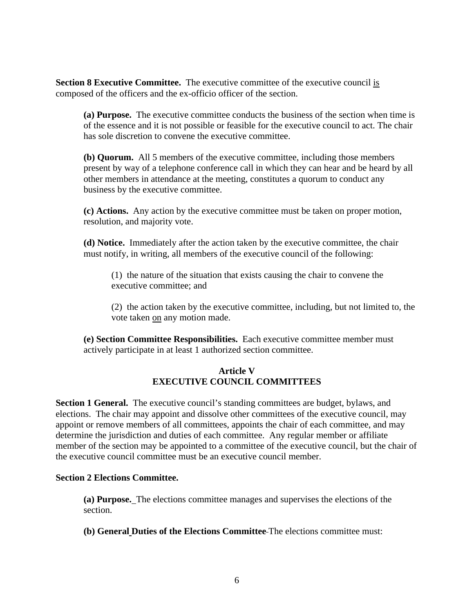**Section 8 Executive Committee.** The executive committee of the executive council is composed of the officers and the ex-officio officer of the section.

**(a) Purpose.** The executive committee conducts the business of the section when time is of the essence and it is not possible or feasible for the executive council to act. The chair has sole discretion to convene the executive committee.

**(b) Quorum.** All 5 members of the executive committee, including those members present by way of a telephone conference call in which they can hear and be heard by all other members in attendance at the meeting, constitutes a quorum to conduct any business by the executive committee.

**(c) Actions.** Any action by the executive committee must be taken on proper motion, resolution, and majority vote.

**(d) Notice.** Immediately after the action taken by the executive committee, the chair must notify, in writing, all members of the executive council of the following:

(1) the nature of the situation that exists causing the chair to convene the executive committee; and

(2) the action taken by the executive committee, including, but not limited to, the vote taken on any motion made.

**(e) Section Committee Responsibilities.** Each executive committee member must actively participate in at least 1 authorized section committee.

## **Article V EXECUTIVE COUNCIL COMMITTEES**

**Section 1 General.** The executive council's standing committees are budget, bylaws, and elections. The chair may appoint and dissolve other committees of the executive council, may appoint or remove members of all committees, appoints the chair of each committee, and may determine the jurisdiction and duties of each committee. Any regular member or affiliate member of the section may be appointed to a committee of the executive council, but the chair of the executive council committee must be an executive council member.

### **Section 2 Elections Committee.**

**(a) Purpose.** The elections committee manages and supervises the elections of the section.

**(b) General Duties of the Elections Committee** The elections committee must: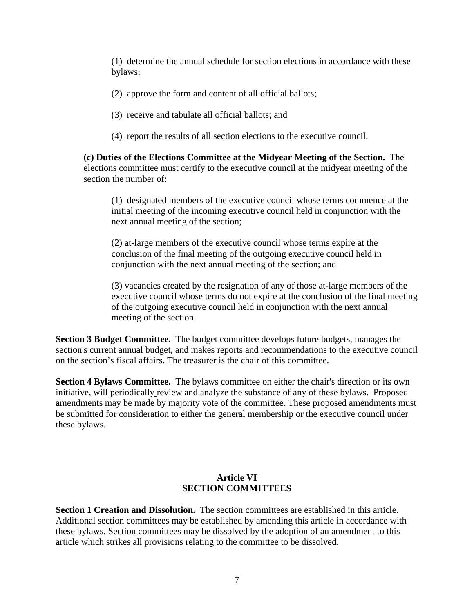(1) determine the annual schedule for section elections in accordance with these bylaws;

- (2) approve the form and content of all official ballots;
- (3) receive and tabulate all official ballots; and
- (4) report the results of all section elections to the executive council.

**(c) Duties of the Elections Committee at the Midyear Meeting of the Section.** The elections committee must certify to the executive council at the midyear meeting of the section the number of:

(1) designated members of the executive council whose terms commence at the initial meeting of the incoming executive council held in conjunction with the next annual meeting of the section;

(2) at-large members of the executive council whose terms expire at the conclusion of the final meeting of the outgoing executive council held in conjunction with the next annual meeting of the section; and

(3) vacancies created by the resignation of any of those at-large members of the executive council whose terms do not expire at the conclusion of the final meeting of the outgoing executive council held in conjunction with the next annual meeting of the section.

**Section 3 Budget Committee.** The budget committee develops future budgets, manages the section's current annual budget, and makes reports and recommendations to the executive council on the section's fiscal affairs. The treasurer is the chair of this committee.

**Section 4 Bylaws Committee.** The bylaws committee on either the chair's direction or its own initiative, will periodically review and analyze the substance of any of these bylaws. Proposed amendments may be made by majority vote of the committee. These proposed amendments must be submitted for consideration to either the general membership or the executive council under these bylaws.

## **Article VI SECTION COMMITTEES**

**Section 1 Creation and Dissolution.** The section committees are established in this article. Additional section committees may be established by amending this article in accordance with these bylaws. Section committees may be dissolved by the adoption of an amendment to this article which strikes all provisions relating to the committee to be dissolved.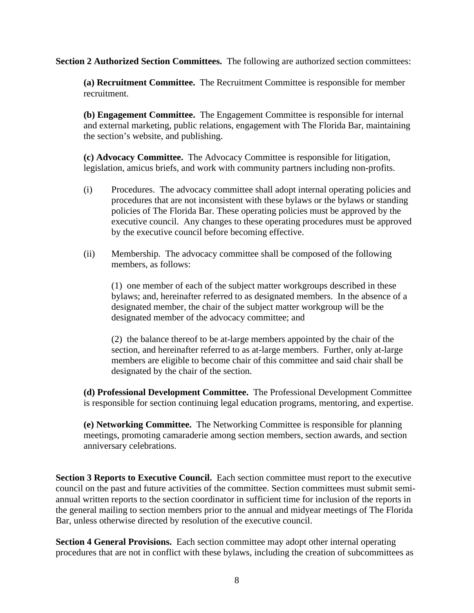**Section 2 Authorized Section Committees.** The following are authorized section committees:

**(a) Recruitment Committee.** The Recruitment Committee is responsible for member recruitment.

**(b) Engagement Committee.** The Engagement Committee is responsible for internal and external marketing, public relations, engagement with The Florida Bar, maintaining the section's website, and publishing.

**(c) Advocacy Committee.** The Advocacy Committee is responsible for litigation, legislation, amicus briefs, and work with community partners including non-profits.

- (i) Procedures. The advocacy committee shall adopt internal operating policies and procedures that are not inconsistent with these bylaws or the bylaws or standing policies of The Florida Bar. These operating policies must be approved by the executive council. Any changes to these operating procedures must be approved by the executive council before becoming effective.
- (ii) Membership. The advocacy committee shall be composed of the following members, as follows:

(1) one member of each of the subject matter workgroups described in these bylaws; and, hereinafter referred to as designated members. In the absence of a designated member, the chair of the subject matter workgroup will be the designated member of the advocacy committee; and

(2) the balance thereof to be at-large members appointed by the chair of the section, and hereinafter referred to as at-large members. Further, only at-large members are eligible to become chair of this committee and said chair shall be designated by the chair of the section.

**(d) Professional Development Committee.** The Professional Development Committee is responsible for section continuing legal education programs, mentoring, and expertise.

**(e) Networking Committee.** The Networking Committee is responsible for planning meetings, promoting camaraderie among section members, section awards, and section anniversary celebrations.

**Section 3 Reports to Executive Council.** Each section committee must report to the executive council on the past and future activities of the committee. Section committees must submit semiannual written reports to the section coordinator in sufficient time for inclusion of the reports in the general mailing to section members prior to the annual and midyear meetings of The Florida Bar, unless otherwise directed by resolution of the executive council.

**Section 4 General Provisions.** Each section committee may adopt other internal operating procedures that are not in conflict with these bylaws, including the creation of subcommittees as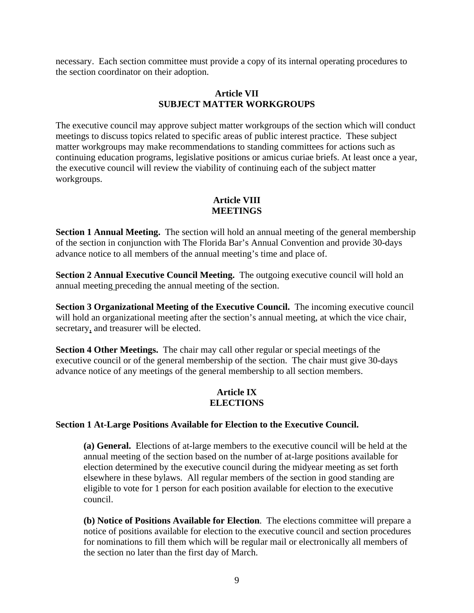necessary. Each section committee must provide a copy of its internal operating procedures to the section coordinator on their adoption.

### **Article VII SUBJECT MATTER WORKGROUPS**

The executive council may approve subject matter workgroups of the section which will conduct meetings to discuss topics related to specific areas of public interest practice. These subject matter workgroups may make recommendations to standing committees for actions such as continuing education programs, legislative positions or amicus curiae briefs. At least once a year, the executive council will review the viability of continuing each of the subject matter workgroups.

## **Article VIII MEETINGS**

**Section 1 Annual Meeting.** The section will hold an annual meeting of the general membership of the section in conjunction with The Florida Bar's Annual Convention and provide 30-days advance notice to all members of the annual meeting's time and place of.

**Section 2 Annual Executive Council Meeting.** The outgoing executive council will hold an annual meeting preceding the annual meeting of the section.

**Section 3 Organizational Meeting of the Executive Council.** The incoming executive council will hold an organizational meeting after the section's annual meeting, at which the vice chair, secretary, and treasurer will be elected.

**Section 4 Other Meetings.** The chair may call other regular or special meetings of the executive council or of the general membership of the section. The chair must give 30-days advance notice of any meetings of the general membership to all section members.

## **Article IX ELECTIONS**

### **Section 1 At-Large Positions Available for Election to the Executive Council.**

**(a) General.** Elections of at-large members to the executive council will be held at the annual meeting of the section based on the number of at-large positions available for election determined by the executive council during the midyear meeting as set forth elsewhere in these bylaws. All regular members of the section in good standing are eligible to vote for 1 person for each position available for election to the executive council.

**(b) Notice of Positions Available for Election**. The elections committee will prepare a notice of positions available for election to the executive council and section procedures for nominations to fill them which will be regular mail or electronically all members of the section no later than the first day of March.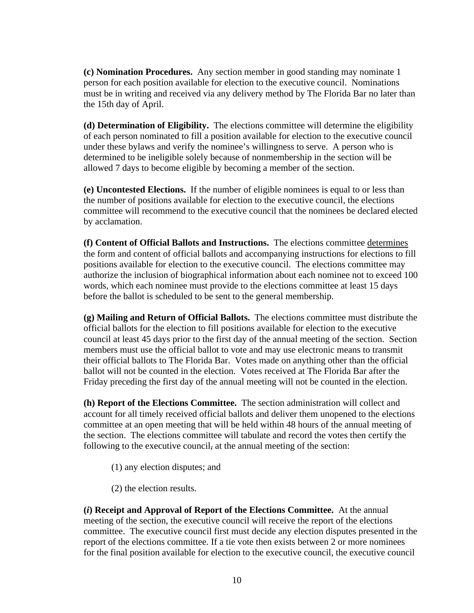**(c) Nomination Procedures.** Any section member in good standing may nominate 1 person for each position available for election to the executive council. Nominations must be in writing and received via any delivery method by The Florida Bar no later than the 15th day of April.

**(d) Determination of Eligibility.** The elections committee will determine the eligibility of each person nominated to fill a position available for election to the executive council under these bylaws and verify the nominee's willingness to serve. A person who is determined to be ineligible solely because of nonmembership in the section will be allowed 7 days to become eligible by becoming a member of the section.

**(e) Uncontested Elections.** If the number of eligible nominees is equal to or less than the number of positions available for election to the executive council, the elections committee will recommend to the executive council that the nominees be declared elected by acclamation.

**(f) Content of Official Ballots and Instructions.** The elections committee determines the form and content of official ballots and accompanying instructions for elections to fill positions available for election to the executive council. The elections committee may authorize the inclusion of biographical information about each nominee not to exceed 100 words, which each nominee must provide to the elections committee at least 15 days before the ballot is scheduled to be sent to the general membership.

**(g) Mailing and Return of Official Ballots.** The elections committee must distribute the official ballots for the election to fill positions available for election to the executive council at least 45 days prior to the first day of the annual meeting of the section. Section members must use the official ballot to vote and may use electronic means to transmit their official ballots to The Florida Bar. Votes made on anything other than the official ballot will not be counted in the election. Votes received at The Florida Bar after the Friday preceding the first day of the annual meeting will not be counted in the election.

**(h) Report of the Elections Committee.** The section administration will collect and account for all timely received official ballots and deliver them unopened to the elections committee at an open meeting that will be held within 48 hours of the annual meeting of the section. The elections committee will tabulate and record the votes then certify the following to the executive council, at the annual meeting of the section:

- (1) any election disputes; and
- (2) the election results.

**(***i***) Receipt and Approval of Report of the Elections Committee.** At the annual meeting of the section, the executive council will receive the report of the elections committee. The executive council first must decide any election disputes presented in the report of the elections committee. If a tie vote then exists between 2 or more nominees for the final position available for election to the executive council, the executive council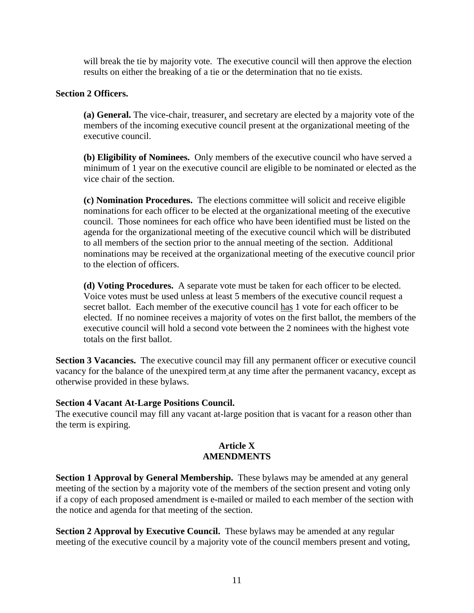will break the tie by majority vote. The executive council will then approve the election results on either the breaking of a tie or the determination that no tie exists.

### **Section 2 Officers.**

**(a) General.** The vice-chair, treasurer, and secretary are elected by a majority vote of the members of the incoming executive council present at the organizational meeting of the executive council.

**(b) Eligibility of Nominees.** Only members of the executive council who have served a minimum of 1 year on the executive council are eligible to be nominated or elected as the vice chair of the section.

**(c) Nomination Procedures.** The elections committee will solicit and receive eligible nominations for each officer to be elected at the organizational meeting of the executive council. Those nominees for each office who have been identified must be listed on the agenda for the organizational meeting of the executive council which will be distributed to all members of the section prior to the annual meeting of the section. Additional nominations may be received at the organizational meeting of the executive council prior to the election of officers.

**(d) Voting Procedures.** A separate vote must be taken for each officer to be elected. Voice votes must be used unless at least 5 members of the executive council request a secret ballot. Each member of the executive council has 1 vote for each officer to be elected. If no nominee receives a majority of votes on the first ballot, the members of the executive council will hold a second vote between the 2 nominees with the highest vote totals on the first ballot.

**Section 3 Vacancies.** The executive council may fill any permanent officer or executive council vacancy for the balance of the unexpired term at any time after the permanent vacancy, except as otherwise provided in these bylaws.

### **Section 4 Vacant At-Large Positions Council.**

The executive council may fill any vacant at-large position that is vacant for a reason other than the term is expiring.

## **Article X AMENDMENTS**

**Section 1 Approval by General Membership.** These bylaws may be amended at any general meeting of the section by a majority vote of the members of the section present and voting only if a copy of each proposed amendment is e-mailed or mailed to each member of the section with the notice and agenda for that meeting of the section.

**Section 2 Approval by Executive Council.** These bylaws may be amended at any regular meeting of the executive council by a majority vote of the council members present and voting,